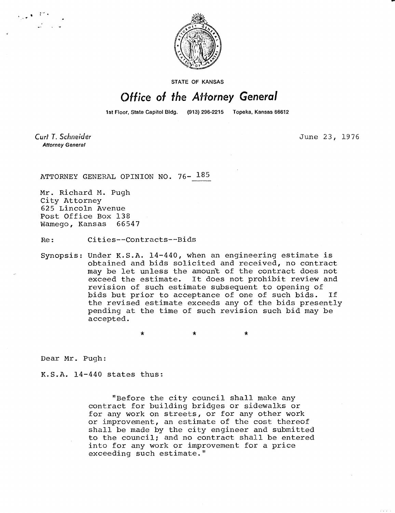

STATE OF KANSAS

## Office of the Attorney General

1st Floor, State Capitol Bldg. (913) 296-2215 Topeka, Kansas 66612

Curt T. Schneider **Attorney General** 

June 23, 1976

ATTORNEY GENERAL OPINION NO. 76- 185

Mr. Richard M. Pugh City Attorney 625 Lincoln Avenue Post Office Box 138 Wamego, Kansas 66547

Re: Cities--Contracts--Bids

Synopsis: Under K.S.A. 14-440, when an engineering estimate is obtained and bids solicited and received, no contract may be let unless the amount of the contract does not exceed the estimate. It does not prohibit review and revision of such estimate subsequent to opening of bids but prior to acceptance of one of such bids. If the revised estimate exceeds any of the bids presently pending at the time of such revision such bid may be accepted.

\* \*

Dear Mr. Pugh:

K.S.A. 14-440 states thus:

"Before the city council shall make any contract for building bridges or sidewalks or for any work on streets, or for any other work or improvement, an estimate of the cost thereof shall be made by the city engineer and submitted to the council; and no contract shall be entered into for any work or improvement for a price exceeding such estimate."